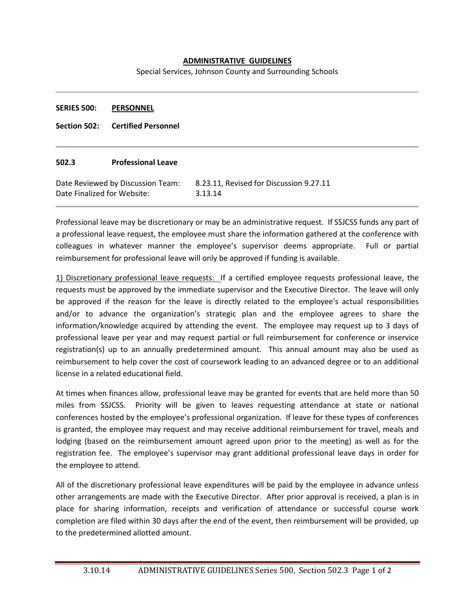## **ADMINISTRATIVE GUIDELINES**

Special Services, Johnson County and Surrounding Schools

| <b>SERIES 500:</b> | <b>PERSONNEL</b> |
|--------------------|------------------|
|--------------------|------------------|

**Section 502: Certified Personnel**

## **502.3 Professional Leave**

| Date Reviewed by Discussion Team: | 8.23.11, Revised for Discussion 9.27.11 |
|-----------------------------------|-----------------------------------------|
| Date Finalized for Website:       | 3.13.14                                 |

Professional leave may be discretionary or may be an administrative request. If SSJCSS funds any part of a professional leave request, the employee must share the information gathered at the conference with colleagues in whatever manner the employee's supervisor deems appropriate. Full or partial reimbursement for professional leave will only be approved if funding is available.

1) Discretionary professional leave requests: If a certified employee requests professional leave, the requests must be approved by the immediate supervisor and the Executive Director. The leave will only be approved if the reason for the leave is directly related to the employee's actual responsibilities and/or to advance the organization's strategic plan and the employee agrees to share the information/knowledge acquired by attending the event. The employee may request up to 3 days of professional leave per year and may request partial or full reimbursement for conference or inservice registration(s) up to an annually predetermined amount. This annual amount may also be used as reimbursement to help cover the cost of coursework leading to an advanced degree or to an additional license in a related educational field.

At times when finances allow, professional leave may be granted for events that are held more than 50 miles from SSJCSS. Priority will be given to leaves requesting attendance at state or national conferences hosted by the employee's professional organization. If leave for these types of conferences is granted, the employee may request and may receive additional reimbursement for travel, meals and lodging (based on the reimbursement amount agreed upon prior to the meeting) as well as for the registration fee. The employee's supervisor may grant additional professional leave days in order for the employee to attend.

All of the discretionary professional leave expenditures will be paid by the employee in advance unless other arrangements are made with the Executive Director. After prior approval is received, a plan is in place for sharing information, receipts and verification of attendance or successful course work completion are filed within 30 days after the end of the event, then reimbursement will be provided, up to the predetermined allotted amount.